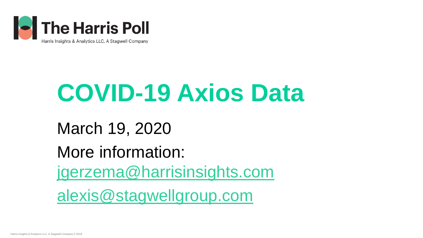

# **COVID-19 Axios Data**

March 19, 2020 More information: [jgerzema@harrisinsights.com](mailto:jgerzema@harrisinsights.com) [alexis@stagwellgroup.com](mailto:alexis@stagwellgroup.com)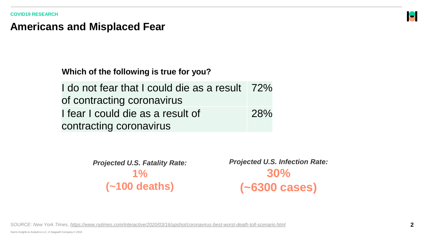#### **Americans and Misplaced Fear**

**Which of the following is true for you?**

I do not fear that I could die as a result of contracting coronavirus 72% I fear I could die as a result of contracting coronavirus 28%

> *Projected U.S. Fatality Rate:*  **1% (~100 deaths)**

*Projected U.S. Infection Rate:*  **30% (~6300 cases)** 

*SOURCE: New York Times, <https://www.nytimes.com/interactive/2020/03/16/upshot/coronavirus-best-worst-death-toll-scenario.html>*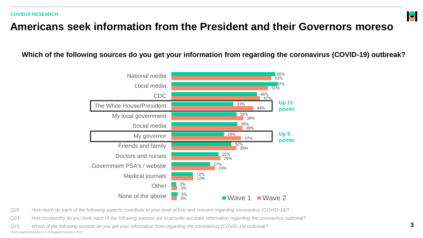### **Americans seek information from the President and their Governors moreso**

**Which of the following sources do you get your information from regarding the coronavirus (COVID-19) outbreak?**



*Q20 How much do each of the following aspects contribute to your level of fear and concern regarding coronavirus (COVID-19)?*

*Q24 How trustworthy do you think each of the following sources are to provide accurate information regarding the coronavirus outbreak?*

Harris Insights & Analytics LLC, A Stagwell Company © 2018 *Q23. Which of the following sources do you get your information from regarding the coronavirus (COVID-19) outbreak?* H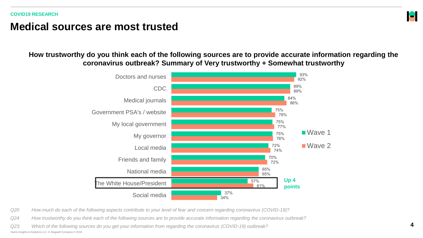### **Medical sources are most trusted**

#### **How trustworthy do you think each of the following sources are to provide accurate information regarding the coronavirus outbreak? Summary of Very trustworthy + Somewhat trustworthy**



*Q20 How much do each of the following aspects contribute to your level of fear and concern regarding coronavirus (COVID-19)?*

*Q24 How trustworthy do you think each of the following sources are to provide accurate information regarding the coronavirus outbreak?*

Harris Insights & Analytics LLC, A Stagwell Company © 2018 *Q23. Which of the following sources do you get your information from regarding the coronavirus (COVID-19) outbreak?* H